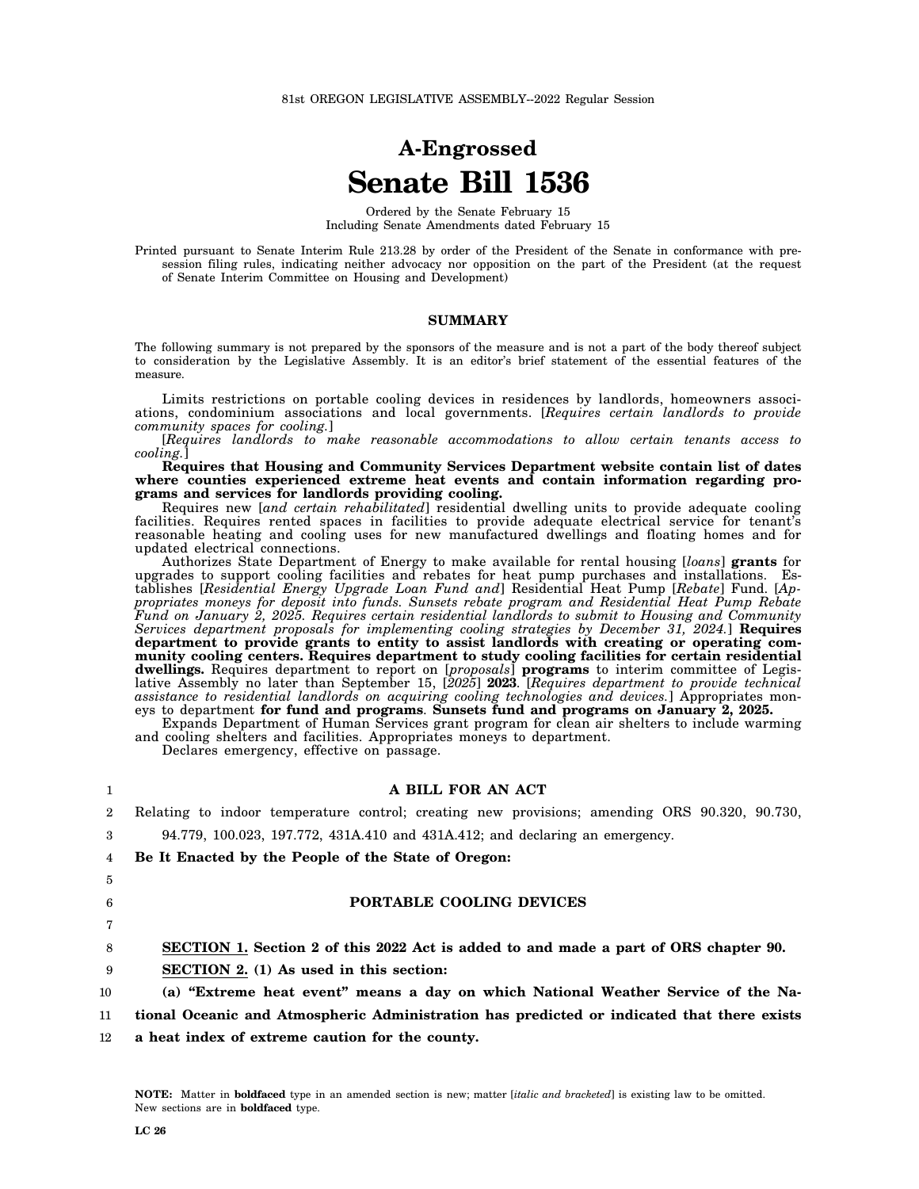# **A-Engrossed Senate Bill 1536**

Ordered by the Senate February 15 Including Senate Amendments dated February 15

Printed pursuant to Senate Interim Rule 213.28 by order of the President of the Senate in conformance with presession filing rules, indicating neither advocacy nor opposition on the part of the President (at the request of Senate Interim Committee on Housing and Development)

#### **SUMMARY**

The following summary is not prepared by the sponsors of the measure and is not a part of the body thereof subject to consideration by the Legislative Assembly. It is an editor's brief statement of the essential features of the measure.

Limits restrictions on portable cooling devices in residences by landlords, homeowners associations, condominium associations and local governments. [*Requires certain landlords to provide community spaces for cooling.*]

[*Requires landlords to make reasonable accommodations to allow certain tenants access to cooling.*]

**Requires that Housing and Community Services Department website contain list of dates where counties experienced extreme heat events and contain information regarding programs and services for landlords providing cooling.**

Requires new [*and certain rehabilitated*] residential dwelling units to provide adequate cooling facilities. Requires rented spaces in facilities to provide adequate electrical service for tenant's reasonable heating and cooling uses for new manufactured dwellings and floating homes and for updated electrical connections.

Authorizes State Department of Energy to make available for rental housing [*loans*] **grants** for upgrades to support cooling facilities and rebates for heat pump purchases and installations. Establishes [*Residential Energy Upgrade Loan Fund and*] Residential Heat Pump [*Rebate*] Fund. [*Appropriates moneys for deposit into funds. Sunsets rebate program and Residential Heat Pump Rebate Fund on January 2, 2025. Requires certain residential landlords to submit to Housing and Community Services department proposals for implementing cooling strategies by December 31, 2024.*] **Requires department to provide grants to entity to assist landlords with creating or operating community cooling centers. Requires department to study cooling facilities for certain residential dwellings.** Requires department to report on [*proposals*] **programs** to interim committee of Legislative Assembly no later than September 15, [*2025*] **2023**. [*Requires department to provide technical assistance to residential landlords on acquiring cooling technologies and devices.*] Appropriates moneys to department **for fund and programs**. **Sunsets fund and programs on January 2, 2025.**

Expands Department of Human Services grant program for clean air shelters to include warming and cooling shelters and facilities. Appropriates moneys to department.

Declares emergency, effective on passage.

## **A BILL FOR AN ACT**

- 2 3 4 5 6 7 8 9 10 11 Relating to indoor temperature control; creating new provisions; amending ORS 90.320, 90.730, 94.779, 100.023, 197.772, 431A.410 and 431A.412; and declaring an emergency. **Be It Enacted by the People of the State of Oregon: PORTABLE COOLING DEVICES SECTION 1. Section 2 of this 2022 Act is added to and made a part of ORS chapter 90. SECTION 2. (1) As used in this section: (a) "Extreme heat event" means a day on which National Weather Service of the National Oceanic and Atmospheric Administration has predicted or indicated that there exists**
- 12 **a heat index of extreme caution for the county.**

1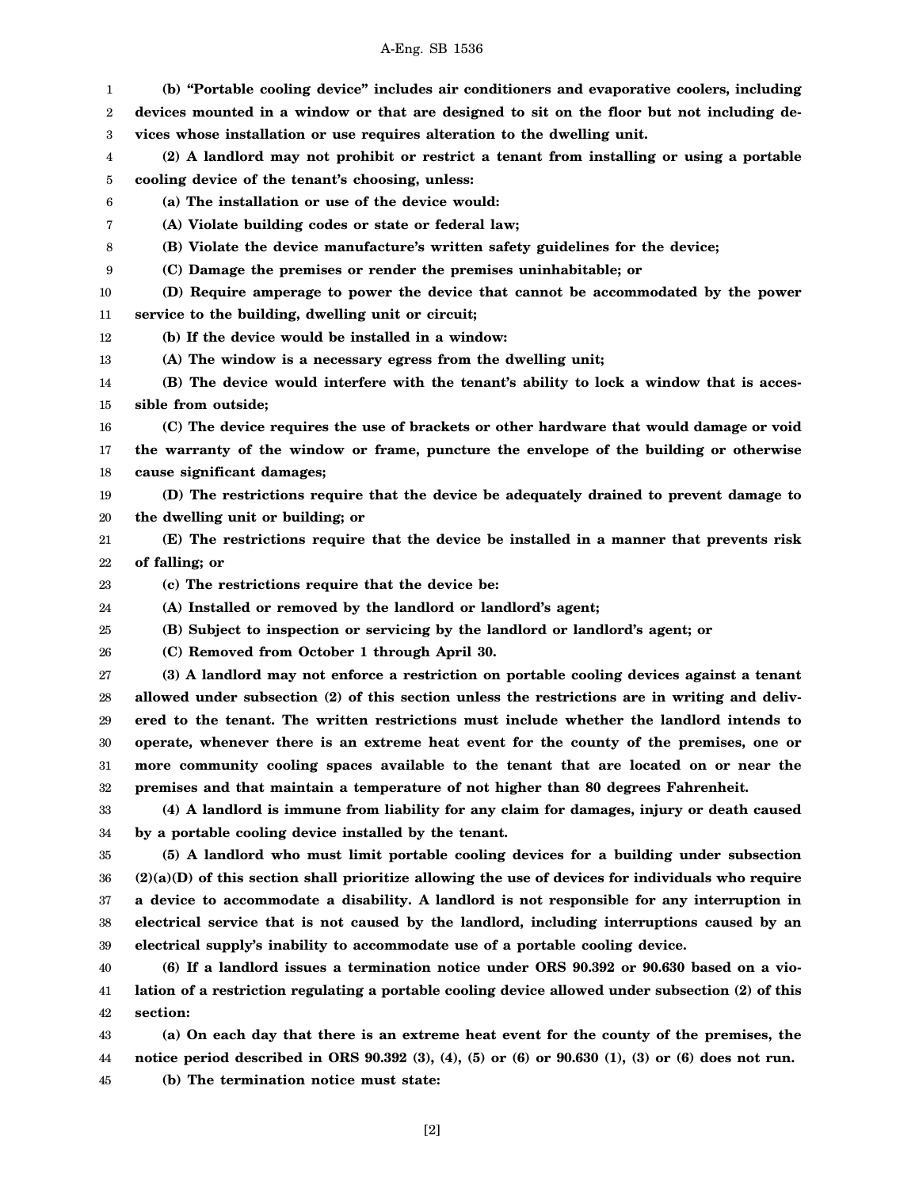| 1        | (b) "Portable cooling device" includes air conditioners and evaporative coolers, including                                                       |
|----------|--------------------------------------------------------------------------------------------------------------------------------------------------|
| 2        | devices mounted in a window or that are designed to sit on the floor but not including de-                                                       |
| 3        | vices whose installation or use requires alteration to the dwelling unit.                                                                        |
| 4        | (2) A landlord may not prohibit or restrict a tenant from installing or using a portable                                                         |
| 5        | cooling device of the tenant's choosing, unless:                                                                                                 |
| 6        | (a) The installation or use of the device would:                                                                                                 |
| 7        | (A) Violate building codes or state or federal law;                                                                                              |
| 8        | (B) Violate the device manufacture's written safety guidelines for the device;                                                                   |
| 9        | (C) Damage the premises or render the premises uninhabitable; or                                                                                 |
| 10       | (D) Require amperage to power the device that cannot be accommodated by the power                                                                |
| 11       | service to the building, dwelling unit or circuit;                                                                                               |
| 12       | (b) If the device would be installed in a window:                                                                                                |
| 13       | (A) The window is a necessary egress from the dwelling unit;                                                                                     |
| 14       | (B) The device would interfere with the tenant's ability to lock a window that is acces-                                                         |
| 15       | sible from outside;                                                                                                                              |
| 16       | (C) The device requires the use of brackets or other hardware that would damage or void                                                          |
| 17       | the warranty of the window or frame, puncture the envelope of the building or otherwise                                                          |
| 18       | cause significant damages;                                                                                                                       |
| 19       | (D) The restrictions require that the device be adequately drained to prevent damage to                                                          |
| 20       | the dwelling unit or building; or                                                                                                                |
| 21       | (E) The restrictions require that the device be installed in a manner that prevents risk                                                         |
| 22       | of falling; or                                                                                                                                   |
| 23       | (c) The restrictions require that the device be:                                                                                                 |
| 24       | (A) Installed or removed by the landlord or landlord's agent;                                                                                    |
| 25       | (B) Subject to inspection or servicing by the landlord or landlord's agent; or                                                                   |
| 26       | (C) Removed from October 1 through April 30.                                                                                                     |
| 27       | (3) A landlord may not enforce a restriction on portable cooling devices against a tenant                                                        |
| 28       | allowed under subsection (2) of this section unless the restrictions are in writing and deliv-                                                   |
| 29       | ered to the tenant. The written restrictions must include whether the landlord intends to                                                        |
| 30       | operate, whenever there is an extreme heat event for the county of the premises, one or                                                          |
| 31       | more community cooling spaces available to the tenant that are located on or near the                                                            |
| 32       | premises and that maintain a temperature of not higher than 80 degrees Fahrenheit.                                                               |
| 33       | (4) A landlord is immune from liability for any claim for damages, injury or death caused                                                        |
| 34       | by a portable cooling device installed by the tenant.                                                                                            |
| 35       | (5) A landlord who must limit portable cooling devices for a building under subsection                                                           |
| 36       | $(2)(a)(D)$ of this section shall prioritize allowing the use of devices for individuals who require                                             |
| 37       | a device to accommodate a disability. A landlord is not responsible for any interruption in                                                      |
| 38       | electrical service that is not caused by the landlord, including interruptions caused by an                                                      |
| 39       | electrical supply's inability to accommodate use of a portable cooling device.                                                                   |
| 40       | (6) If a landlord issues a termination notice under ORS 90.392 or 90.630 based on a vio-                                                         |
| 41       | lation of a restriction regulating a portable cooling device allowed under subsection (2) of this                                                |
| 42       | section:                                                                                                                                         |
| 43       | (a) On each day that there is an extreme heat event for the county of the premises, the                                                          |
|          |                                                                                                                                                  |
| 44<br>45 | notice period described in ORS $90.392$ (3), (4), (5) or (6) or $90.630$ (1), (3) or (6) does not run.<br>(b) The termination notice must state: |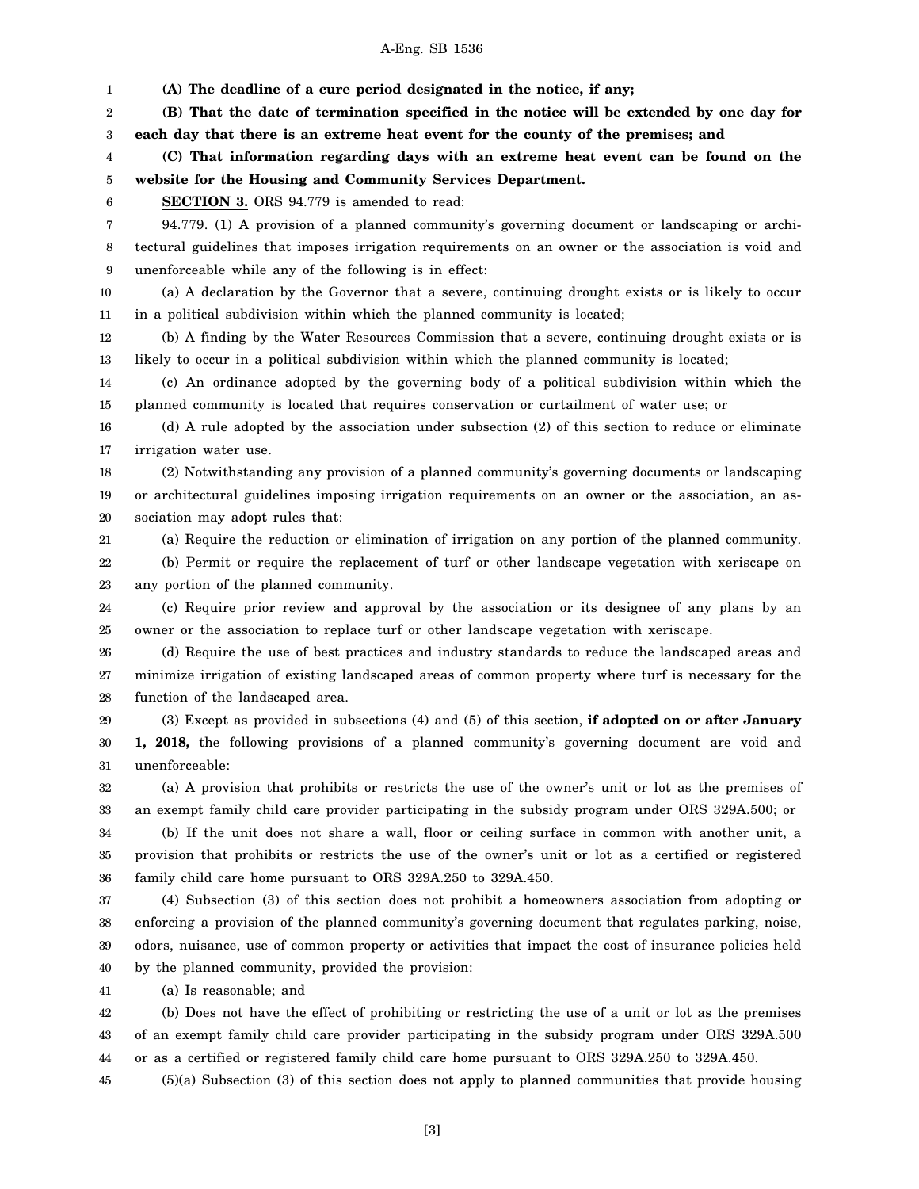1 2 3 4 5 6 7 8 9 10 11 12 13 14 15 16 17 18 19 20 21 22 23 24 25 26 27 28 29 30 31 32 33 34 35 36 37 38 39 40 41 **(A) The deadline of a cure period designated in the notice, if any; (B) That the date of termination specified in the notice will be extended by one day for each day that there is an extreme heat event for the county of the premises; and (C) That information regarding days with an extreme heat event can be found on the website for the Housing and Community Services Department. SECTION 3.** ORS 94.779 is amended to read: 94.779. (1) A provision of a planned community's governing document or landscaping or architectural guidelines that imposes irrigation requirements on an owner or the association is void and unenforceable while any of the following is in effect: (a) A declaration by the Governor that a severe, continuing drought exists or is likely to occur in a political subdivision within which the planned community is located; (b) A finding by the Water Resources Commission that a severe, continuing drought exists or is likely to occur in a political subdivision within which the planned community is located; (c) An ordinance adopted by the governing body of a political subdivision within which the planned community is located that requires conservation or curtailment of water use; or (d) A rule adopted by the association under subsection (2) of this section to reduce or eliminate irrigation water use. (2) Notwithstanding any provision of a planned community's governing documents or landscaping or architectural guidelines imposing irrigation requirements on an owner or the association, an association may adopt rules that: (a) Require the reduction or elimination of irrigation on any portion of the planned community. (b) Permit or require the replacement of turf or other landscape vegetation with xeriscape on any portion of the planned community. (c) Require prior review and approval by the association or its designee of any plans by an owner or the association to replace turf or other landscape vegetation with xeriscape. (d) Require the use of best practices and industry standards to reduce the landscaped areas and minimize irrigation of existing landscaped areas of common property where turf is necessary for the function of the landscaped area. (3) Except as provided in subsections (4) and (5) of this section, **if adopted on or after January 1, 2018,** the following provisions of a planned community's governing document are void and unenforceable: (a) A provision that prohibits or restricts the use of the owner's unit or lot as the premises of an exempt family child care provider participating in the subsidy program under ORS 329A.500; or (b) If the unit does not share a wall, floor or ceiling surface in common with another unit, a provision that prohibits or restricts the use of the owner's unit or lot as a certified or registered family child care home pursuant to ORS 329A.250 to 329A.450. (4) Subsection (3) of this section does not prohibit a homeowners association from adopting or enforcing a provision of the planned community's governing document that regulates parking, noise, odors, nuisance, use of common property or activities that impact the cost of insurance policies held by the planned community, provided the provision: (a) Is reasonable; and

42 43 44 (b) Does not have the effect of prohibiting or restricting the use of a unit or lot as the premises of an exempt family child care provider participating in the subsidy program under ORS 329A.500 or as a certified or registered family child care home pursuant to ORS 329A.250 to 329A.450.

45 (5)(a) Subsection (3) of this section does not apply to planned communities that provide housing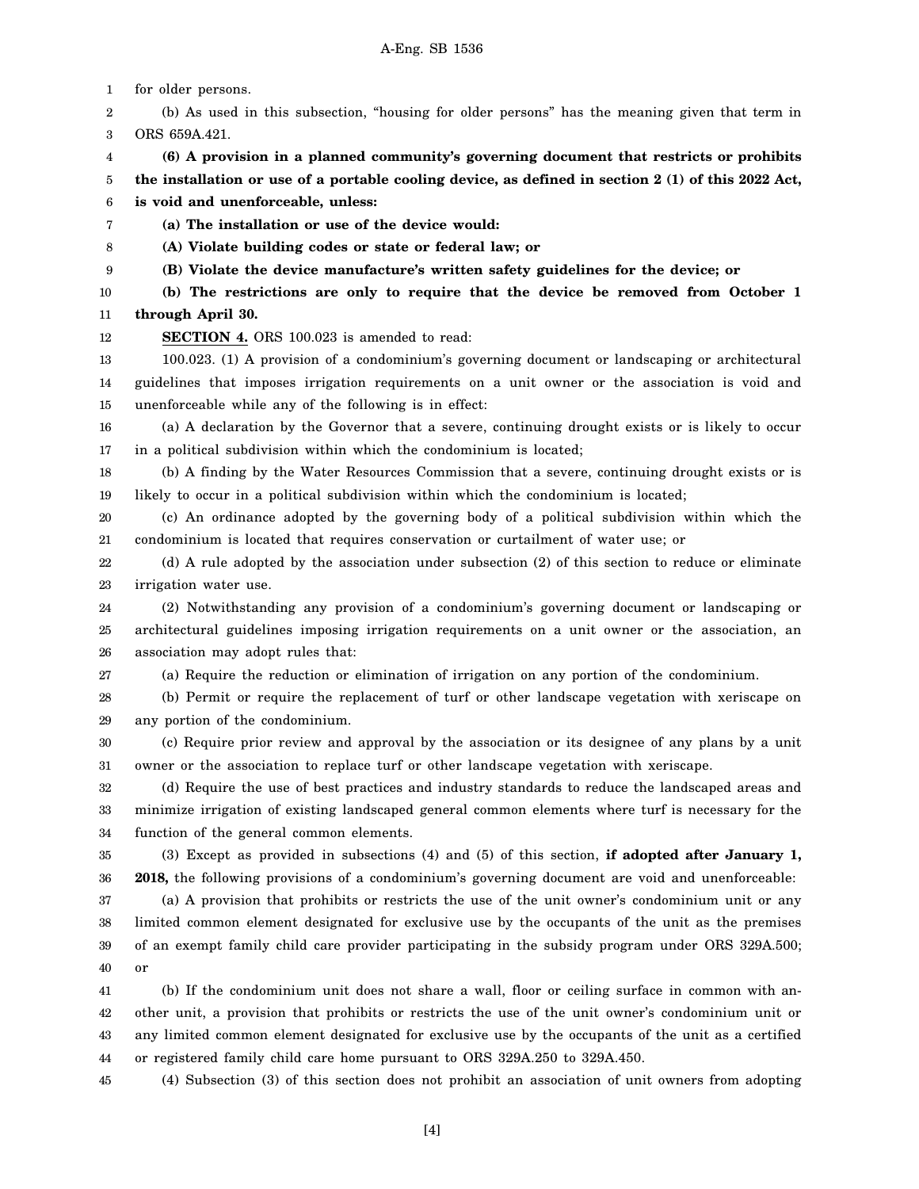1 2 3 4 5 6 7 8 9 10 11 12 13 14 15 16 17 18 19 20 21 22 23 24 25 26 27 28 29 30 31 32 33 34 35 36 37 38 39 40 41 42 43 44 for older persons. (b) As used in this subsection, "housing for older persons" has the meaning given that term in ORS 659A.421. **(6) A provision in a planned community's governing document that restricts or prohibits the installation or use of a portable cooling device, as defined in section 2 (1) of this 2022 Act, is void and unenforceable, unless: (a) The installation or use of the device would: (A) Violate building codes or state or federal law; or (B) Violate the device manufacture's written safety guidelines for the device; or (b) The restrictions are only to require that the device be removed from October 1 through April 30. SECTION 4.** ORS 100.023 is amended to read: 100.023. (1) A provision of a condominium's governing document or landscaping or architectural guidelines that imposes irrigation requirements on a unit owner or the association is void and unenforceable while any of the following is in effect: (a) A declaration by the Governor that a severe, continuing drought exists or is likely to occur in a political subdivision within which the condominium is located; (b) A finding by the Water Resources Commission that a severe, continuing drought exists or is likely to occur in a political subdivision within which the condominium is located; (c) An ordinance adopted by the governing body of a political subdivision within which the condominium is located that requires conservation or curtailment of water use; or (d) A rule adopted by the association under subsection (2) of this section to reduce or eliminate irrigation water use. (2) Notwithstanding any provision of a condominium's governing document or landscaping or architectural guidelines imposing irrigation requirements on a unit owner or the association, an association may adopt rules that: (a) Require the reduction or elimination of irrigation on any portion of the condominium. (b) Permit or require the replacement of turf or other landscape vegetation with xeriscape on any portion of the condominium. (c) Require prior review and approval by the association or its designee of any plans by a unit owner or the association to replace turf or other landscape vegetation with xeriscape. (d) Require the use of best practices and industry standards to reduce the landscaped areas and minimize irrigation of existing landscaped general common elements where turf is necessary for the function of the general common elements. (3) Except as provided in subsections (4) and (5) of this section, **if adopted after January 1, 2018,** the following provisions of a condominium's governing document are void and unenforceable: (a) A provision that prohibits or restricts the use of the unit owner's condominium unit or any limited common element designated for exclusive use by the occupants of the unit as the premises of an exempt family child care provider participating in the subsidy program under ORS 329A.500; or (b) If the condominium unit does not share a wall, floor or ceiling surface in common with another unit, a provision that prohibits or restricts the use of the unit owner's condominium unit or any limited common element designated for exclusive use by the occupants of the unit as a certified or registered family child care home pursuant to ORS 329A.250 to 329A.450.

45 (4) Subsection (3) of this section does not prohibit an association of unit owners from adopting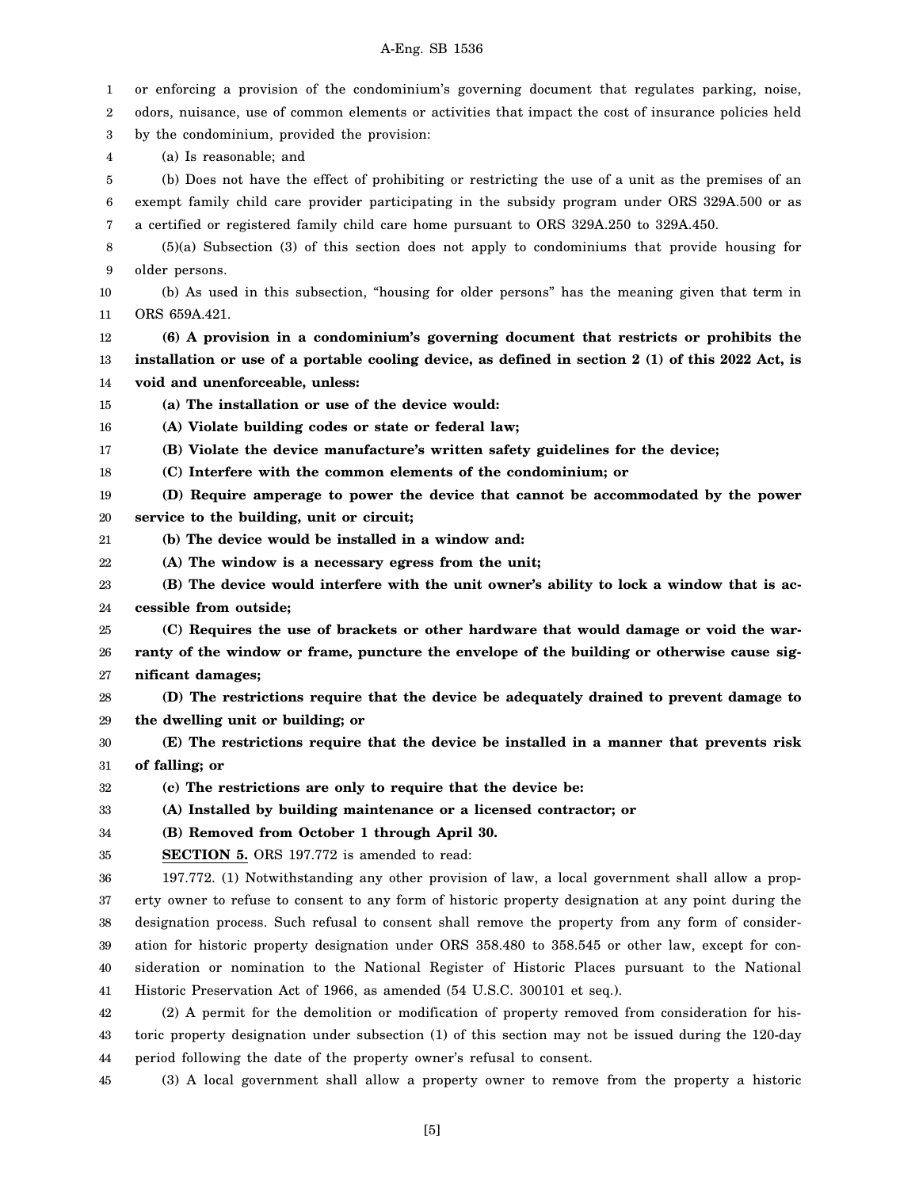| 1<br>2 | or enforcing a provision of the condominium's governing document that regulates parking, noise,<br>odors, nuisance, use of common elements or activities that impact the cost of insurance policies held |
|--------|----------------------------------------------------------------------------------------------------------------------------------------------------------------------------------------------------------|
| 3      | by the condominium, provided the provision:                                                                                                                                                              |
| 4      | (a) Is reasonable; and                                                                                                                                                                                   |
| 5      | (b) Does not have the effect of prohibiting or restricting the use of a unit as the premises of an                                                                                                       |
| 6      | exempt family child care provider participating in the subsidy program under ORS 329A.500 or as                                                                                                          |
| 7      | a certified or registered family child care home pursuant to ORS 329A.250 to 329A.450.                                                                                                                   |
| 8      | $(5)(a)$ Subsection $(3)$ of this section does not apply to condominiums that provide housing for                                                                                                        |
| 9      | older persons.                                                                                                                                                                                           |
| 10     | (b) As used in this subsection, "housing for older persons" has the meaning given that term in                                                                                                           |
| 11     | ORS 659A.421.                                                                                                                                                                                            |
| 12     | (6) A provision in a condominium's governing document that restricts or prohibits the                                                                                                                    |
| 13     | installation or use of a portable cooling device, as defined in section 2 (1) of this 2022 Act, is                                                                                                       |
| 14     | void and unenforceable, unless:                                                                                                                                                                          |
| 15     | (a) The installation or use of the device would:                                                                                                                                                         |
| 16     | (A) Violate building codes or state or federal law;                                                                                                                                                      |
| 17     | (B) Violate the device manufacture's written safety guidelines for the device;                                                                                                                           |
| 18     | (C) Interfere with the common elements of the condominium; or                                                                                                                                            |
| 19     | (D) Require amperage to power the device that cannot be accommodated by the power                                                                                                                        |
| 20     | service to the building, unit or circuit;                                                                                                                                                                |
| 21     | (b) The device would be installed in a window and:                                                                                                                                                       |
| 22     | (A) The window is a necessary egress from the unit;                                                                                                                                                      |
| 23     | (B) The device would interfere with the unit owner's ability to lock a window that is ac-                                                                                                                |
| 24     | cessible from outside;                                                                                                                                                                                   |
| 25     | (C) Requires the use of brackets or other hardware that would damage or void the war-                                                                                                                    |
| 26     | ranty of the window or frame, puncture the envelope of the building or otherwise cause sig-                                                                                                              |
| 27     | nificant damages;                                                                                                                                                                                        |
| 28     | (D) The restrictions require that the device be adequately drained to prevent damage to                                                                                                                  |
| 29     | the dwelling unit or building; or                                                                                                                                                                        |
| 30     | (E) The restrictions require that the device be installed in a manner that prevents risk                                                                                                                 |
| 31     | of falling; or                                                                                                                                                                                           |
| 32     | (c) The restrictions are only to require that the device be:                                                                                                                                             |
| 33     | (A) Installed by building maintenance or a licensed contractor; or                                                                                                                                       |
| 34     | (B) Removed from October 1 through April 30.                                                                                                                                                             |
| 35     | <b>SECTION 5.</b> ORS 197.772 is amended to read:                                                                                                                                                        |
| 36     | 197.772. (1) Notwithstanding any other provision of law, a local government shall allow a prop-                                                                                                          |
| 37     | erty owner to refuse to consent to any form of historic property designation at any point during the                                                                                                     |
| 38     | designation process. Such refusal to consent shall remove the property from any form of consider-                                                                                                        |
| 39     | ation for historic property designation under ORS 358.480 to 358.545 or other law, except for con-                                                                                                       |
| 40     | sideration or nomination to the National Register of Historic Places pursuant to the National                                                                                                            |
| 41     | Historic Preservation Act of 1966, as amended (54 U.S.C. 300101 et seq.).                                                                                                                                |
| 42     | (2) A permit for the demolition or modification of property removed from consideration for his-                                                                                                          |
| 43     | toric property designation under subsection (1) of this section may not be issued during the 120-day                                                                                                     |
| 44     | period following the date of the property owner's refusal to consent.                                                                                                                                    |

45 (3) A local government shall allow a property owner to remove from the property a historic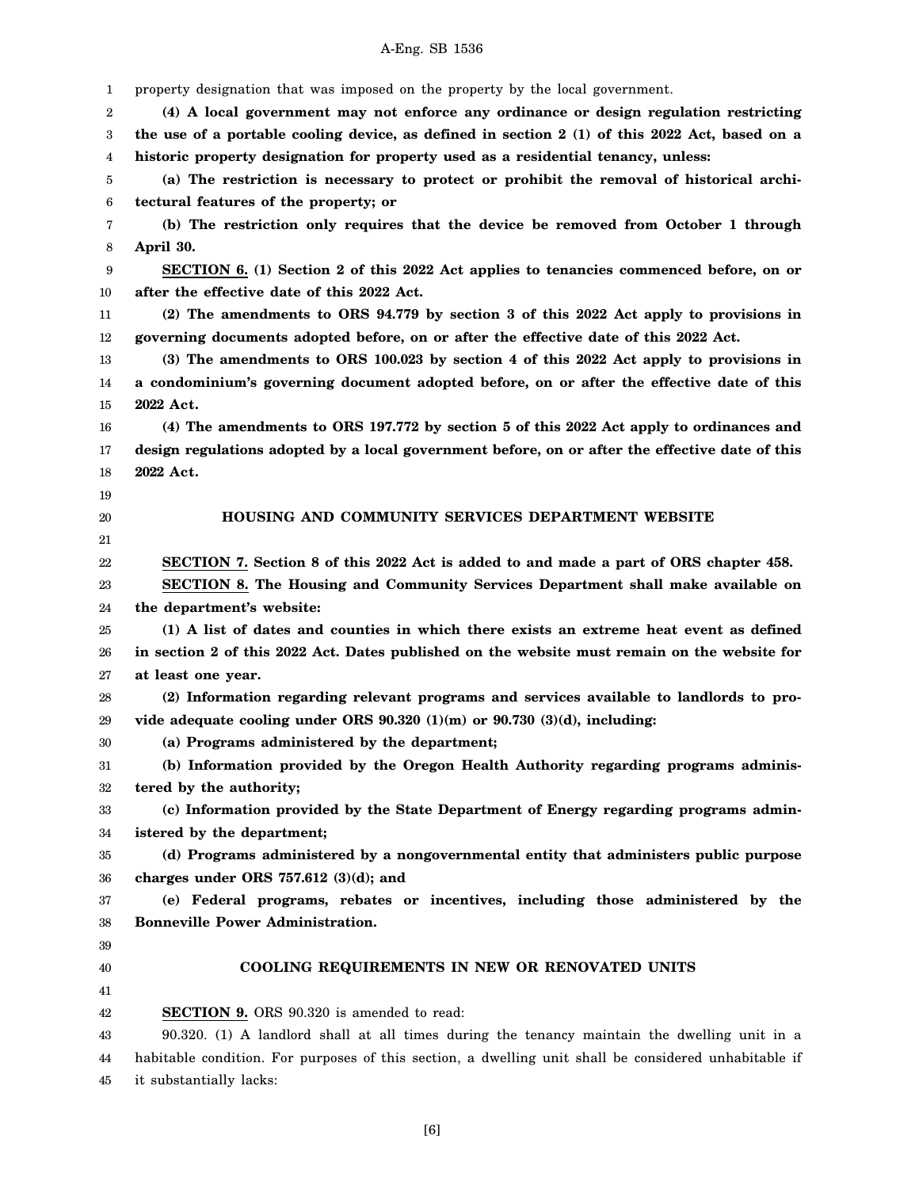1 2 3 4 5 6 7 8 9 10 11 12 13 14 15 16 17 18 19 20 21 22 23 24 25 26 27 28 29 30 31 32 33 34 35 36 37 38 39 40 41 42 43 44 45 property designation that was imposed on the property by the local government. **(4) A local government may not enforce any ordinance or design regulation restricting the use of a portable cooling device, as defined in section 2 (1) of this 2022 Act, based on a historic property designation for property used as a residential tenancy, unless: (a) The restriction is necessary to protect or prohibit the removal of historical architectural features of the property; or (b) The restriction only requires that the device be removed from October 1 through April 30. SECTION 6. (1) Section 2 of this 2022 Act applies to tenancies commenced before, on or after the effective date of this 2022 Act. (2) The amendments to ORS 94.779 by section 3 of this 2022 Act apply to provisions in governing documents adopted before, on or after the effective date of this 2022 Act. (3) The amendments to ORS 100.023 by section 4 of this 2022 Act apply to provisions in a condominium's governing document adopted before, on or after the effective date of this 2022 Act. (4) The amendments to ORS 197.772 by section 5 of this 2022 Act apply to ordinances and design regulations adopted by a local government before, on or after the effective date of this 2022 Act. HOUSING AND COMMUNITY SERVICES DEPARTMENT WEBSITE SECTION 7. Section 8 of this 2022 Act is added to and made a part of ORS chapter 458. SECTION 8. The Housing and Community Services Department shall make available on the department's website: (1) A list of dates and counties in which there exists an extreme heat event as defined in section 2 of this 2022 Act. Dates published on the website must remain on the website for at least one year. (2) Information regarding relevant programs and services available to landlords to provide adequate cooling under ORS 90.320 (1)(m) or 90.730 (3)(d), including: (a) Programs administered by the department; (b) Information provided by the Oregon Health Authority regarding programs administered by the authority; (c) Information provided by the State Department of Energy regarding programs administered by the department; (d) Programs administered by a nongovernmental entity that administers public purpose charges under ORS 757.612 (3)(d); and (e) Federal programs, rebates or incentives, including those administered by the Bonneville Power Administration. COOLING REQUIREMENTS IN NEW OR RENOVATED UNITS SECTION 9.** ORS 90.320 is amended to read: 90.320. (1) A landlord shall at all times during the tenancy maintain the dwelling unit in a habitable condition. For purposes of this section, a dwelling unit shall be considered unhabitable if it substantially lacks: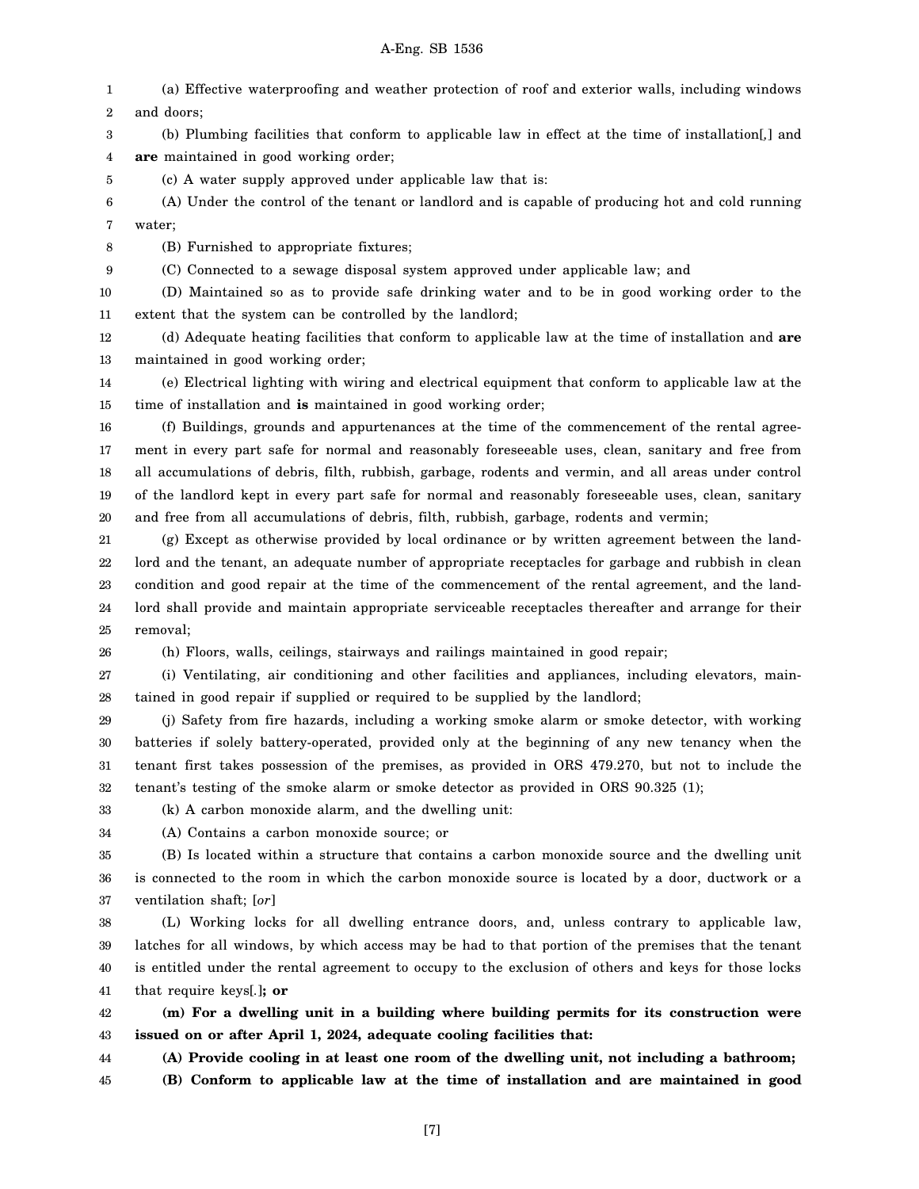1 2 3 4 5 6 7 8 9 10 11 12 13 14 15 16 17 18 19 20 21 22 23 24 25 26 (a) Effective waterproofing and weather protection of roof and exterior walls, including windows and doors; (b) Plumbing facilities that conform to applicable law in effect at the time of installation[*,*] and **are** maintained in good working order; (c) A water supply approved under applicable law that is: (A) Under the control of the tenant or landlord and is capable of producing hot and cold running water; (B) Furnished to appropriate fixtures; (C) Connected to a sewage disposal system approved under applicable law; and (D) Maintained so as to provide safe drinking water and to be in good working order to the extent that the system can be controlled by the landlord; (d) Adequate heating facilities that conform to applicable law at the time of installation and **are** maintained in good working order; (e) Electrical lighting with wiring and electrical equipment that conform to applicable law at the time of installation and **is** maintained in good working order; (f) Buildings, grounds and appurtenances at the time of the commencement of the rental agreement in every part safe for normal and reasonably foreseeable uses, clean, sanitary and free from all accumulations of debris, filth, rubbish, garbage, rodents and vermin, and all areas under control of the landlord kept in every part safe for normal and reasonably foreseeable uses, clean, sanitary and free from all accumulations of debris, filth, rubbish, garbage, rodents and vermin; (g) Except as otherwise provided by local ordinance or by written agreement between the landlord and the tenant, an adequate number of appropriate receptacles for garbage and rubbish in clean condition and good repair at the time of the commencement of the rental agreement, and the landlord shall provide and maintain appropriate serviceable receptacles thereafter and arrange for their removal; (h) Floors, walls, ceilings, stairways and railings maintained in good repair;

27 28 (i) Ventilating, air conditioning and other facilities and appliances, including elevators, maintained in good repair if supplied or required to be supplied by the landlord;

29 30 31 32 (j) Safety from fire hazards, including a working smoke alarm or smoke detector, with working batteries if solely battery-operated, provided only at the beginning of any new tenancy when the tenant first takes possession of the premises, as provided in ORS 479.270, but not to include the tenant's testing of the smoke alarm or smoke detector as provided in ORS 90.325 (1);

33 (k) A carbon monoxide alarm, and the dwelling unit:

34 (A) Contains a carbon monoxide source; or

35 36 37 (B) Is located within a structure that contains a carbon monoxide source and the dwelling unit is connected to the room in which the carbon monoxide source is located by a door, ductwork or a ventilation shaft; [*or*]

38 39 40 41 (L) Working locks for all dwelling entrance doors, and, unless contrary to applicable law, latches for all windows, by which access may be had to that portion of the premises that the tenant is entitled under the rental agreement to occupy to the exclusion of others and keys for those locks that require keys[*.*]**; or**

42 43 **(m) For a dwelling unit in a building where building permits for its construction were issued on or after April 1, 2024, adequate cooling facilities that:**

44 **(A) Provide cooling in at least one room of the dwelling unit, not including a bathroom;**

45 **(B) Conform to applicable law at the time of installation and are maintained in good**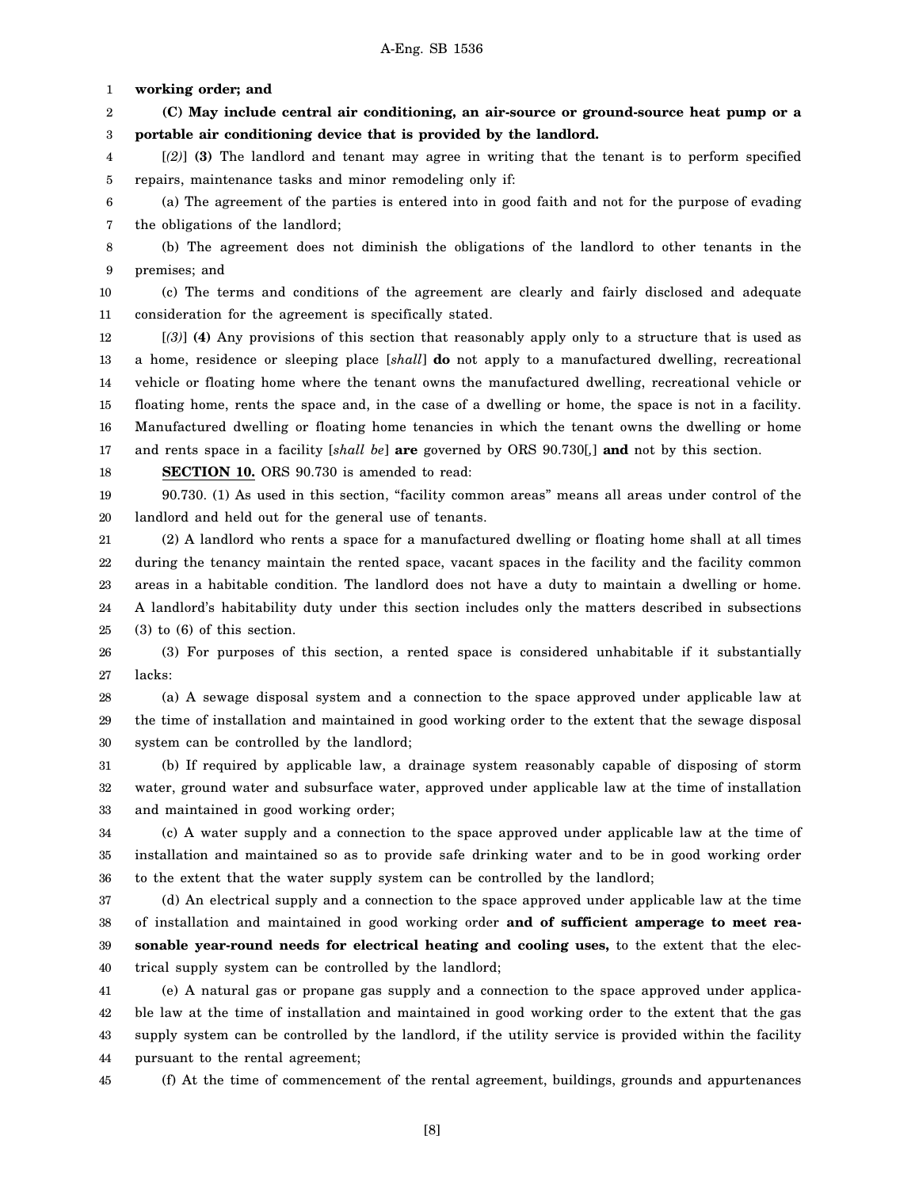1 **working order; and**

2 3 **(C) May include central air conditioning, an air-source or ground-source heat pump or a portable air conditioning device that is provided by the landlord.**

4 5 [*(2)*] **(3)** The landlord and tenant may agree in writing that the tenant is to perform specified repairs, maintenance tasks and minor remodeling only if:

6 7 (a) The agreement of the parties is entered into in good faith and not for the purpose of evading the obligations of the landlord;

8 9 (b) The agreement does not diminish the obligations of the landlord to other tenants in the premises; and

10 11 (c) The terms and conditions of the agreement are clearly and fairly disclosed and adequate consideration for the agreement is specifically stated.

12 13 14 15 16 17 [*(3)*] **(4)** Any provisions of this section that reasonably apply only to a structure that is used as a home, residence or sleeping place [*shall*] **do** not apply to a manufactured dwelling, recreational vehicle or floating home where the tenant owns the manufactured dwelling, recreational vehicle or floating home, rents the space and, in the case of a dwelling or home, the space is not in a facility. Manufactured dwelling or floating home tenancies in which the tenant owns the dwelling or home and rents space in a facility [*shall be*] **are** governed by ORS 90.730[*,*] **and** not by this section.

18

**SECTION 10.** ORS 90.730 is amended to read:

19 20 90.730. (1) As used in this section, "facility common areas" means all areas under control of the landlord and held out for the general use of tenants.

21 22 23 24 25 (2) A landlord who rents a space for a manufactured dwelling or floating home shall at all times during the tenancy maintain the rented space, vacant spaces in the facility and the facility common areas in a habitable condition. The landlord does not have a duty to maintain a dwelling or home. A landlord's habitability duty under this section includes only the matters described in subsections (3) to (6) of this section.

26 27 (3) For purposes of this section, a rented space is considered unhabitable if it substantially lacks:

28 29 30 (a) A sewage disposal system and a connection to the space approved under applicable law at the time of installation and maintained in good working order to the extent that the sewage disposal system can be controlled by the landlord;

31 32 33 (b) If required by applicable law, a drainage system reasonably capable of disposing of storm water, ground water and subsurface water, approved under applicable law at the time of installation and maintained in good working order;

34 35 36 (c) A water supply and a connection to the space approved under applicable law at the time of installation and maintained so as to provide safe drinking water and to be in good working order to the extent that the water supply system can be controlled by the landlord;

37 38 39 40 (d) An electrical supply and a connection to the space approved under applicable law at the time of installation and maintained in good working order **and of sufficient amperage to meet reasonable year-round needs for electrical heating and cooling uses,** to the extent that the electrical supply system can be controlled by the landlord;

41 42 43 44 (e) A natural gas or propane gas supply and a connection to the space approved under applicable law at the time of installation and maintained in good working order to the extent that the gas supply system can be controlled by the landlord, if the utility service is provided within the facility pursuant to the rental agreement;

45

(f) At the time of commencement of the rental agreement, buildings, grounds and appurtenances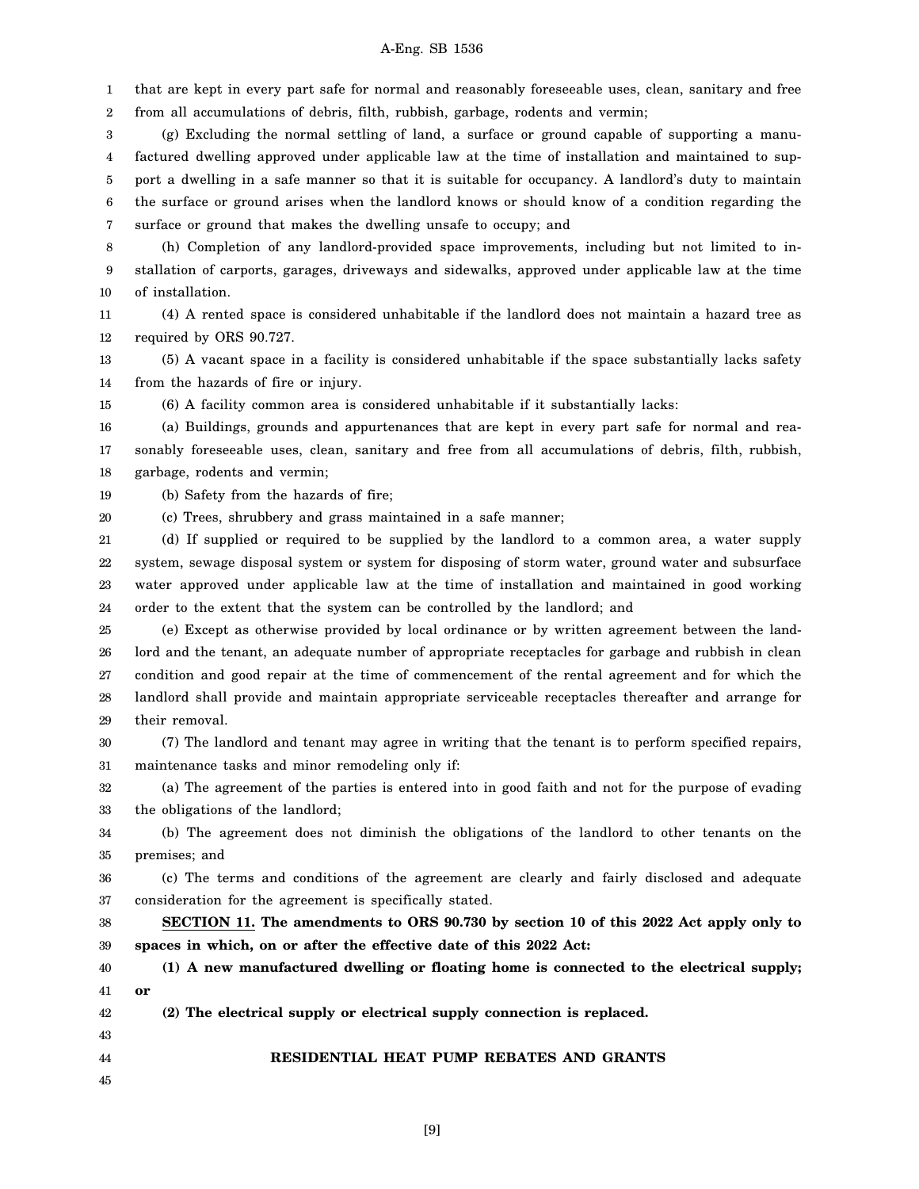1 2 that are kept in every part safe for normal and reasonably foreseeable uses, clean, sanitary and free from all accumulations of debris, filth, rubbish, garbage, rodents and vermin;

3 4 5 6 7 (g) Excluding the normal settling of land, a surface or ground capable of supporting a manufactured dwelling approved under applicable law at the time of installation and maintained to support a dwelling in a safe manner so that it is suitable for occupancy. A landlord's duty to maintain the surface or ground arises when the landlord knows or should know of a condition regarding the surface or ground that makes the dwelling unsafe to occupy; and

8 9 10 (h) Completion of any landlord-provided space improvements, including but not limited to installation of carports, garages, driveways and sidewalks, approved under applicable law at the time of installation.

11 12 (4) A rented space is considered unhabitable if the landlord does not maintain a hazard tree as required by ORS 90.727.

13 14 (5) A vacant space in a facility is considered unhabitable if the space substantially lacks safety from the hazards of fire or injury.

15 (6) A facility common area is considered unhabitable if it substantially lacks:

16 17 18 (a) Buildings, grounds and appurtenances that are kept in every part safe for normal and reasonably foreseeable uses, clean, sanitary and free from all accumulations of debris, filth, rubbish, garbage, rodents and vermin;

19 (b) Safety from the hazards of fire;

20 (c) Trees, shrubbery and grass maintained in a safe manner;

21 22 23 24 (d) If supplied or required to be supplied by the landlord to a common area, a water supply system, sewage disposal system or system for disposing of storm water, ground water and subsurface water approved under applicable law at the time of installation and maintained in good working order to the extent that the system can be controlled by the landlord; and

25 26 27 28 29 (e) Except as otherwise provided by local ordinance or by written agreement between the landlord and the tenant, an adequate number of appropriate receptacles for garbage and rubbish in clean condition and good repair at the time of commencement of the rental agreement and for which the landlord shall provide and maintain appropriate serviceable receptacles thereafter and arrange for their removal.

30 31 (7) The landlord and tenant may agree in writing that the tenant is to perform specified repairs, maintenance tasks and minor remodeling only if:

32 33 (a) The agreement of the parties is entered into in good faith and not for the purpose of evading the obligations of the landlord;

34 35 (b) The agreement does not diminish the obligations of the landlord to other tenants on the premises; and

36 37 (c) The terms and conditions of the agreement are clearly and fairly disclosed and adequate consideration for the agreement is specifically stated.

38 39 **SECTION 11. The amendments to ORS 90.730 by section 10 of this 2022 Act apply only to spaces in which, on or after the effective date of this 2022 Act:**

40 41 **(1) A new manufactured dwelling or floating home is connected to the electrical supply; or**

42 **(2) The electrical supply or electrical supply connection is replaced.**

44 **RESIDENTIAL HEAT PUMP REBATES AND GRANTS**

45

43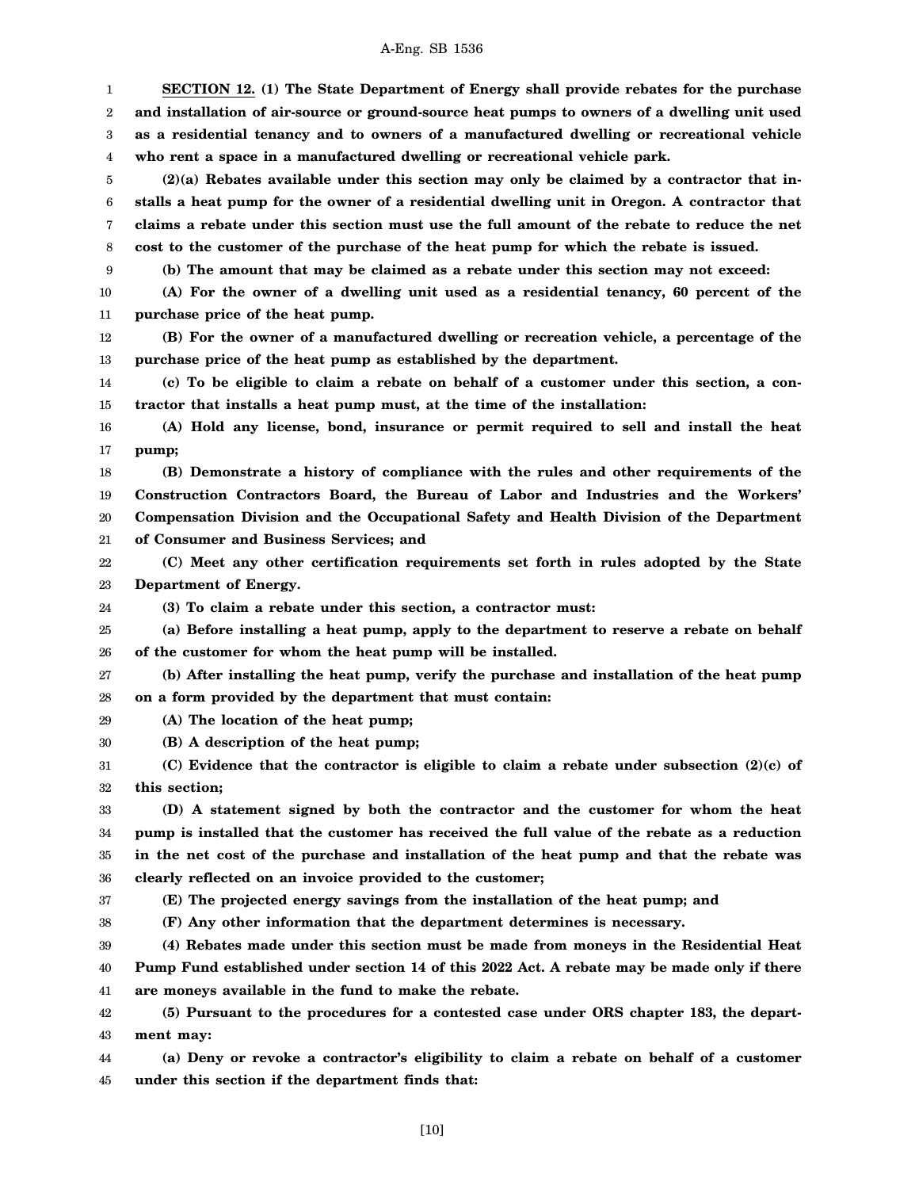1 2 3 4 5 6 7 8 9 10 11 12 13 14 15 16 17 18 19 20 21 22 23 24 25 26 27 28 29 30 31 32 33 34 35 36 37 38 39 40 41 42 43 44 **SECTION 12. (1) The State Department of Energy shall provide rebates for the purchase and installation of air-source or ground-source heat pumps to owners of a dwelling unit used as a residential tenancy and to owners of a manufactured dwelling or recreational vehicle who rent a space in a manufactured dwelling or recreational vehicle park. (2)(a) Rebates available under this section may only be claimed by a contractor that installs a heat pump for the owner of a residential dwelling unit in Oregon. A contractor that claims a rebate under this section must use the full amount of the rebate to reduce the net cost to the customer of the purchase of the heat pump for which the rebate is issued. (b) The amount that may be claimed as a rebate under this section may not exceed: (A) For the owner of a dwelling unit used as a residential tenancy, 60 percent of the purchase price of the heat pump. (B) For the owner of a manufactured dwelling or recreation vehicle, a percentage of the purchase price of the heat pump as established by the department. (c) To be eligible to claim a rebate on behalf of a customer under this section, a contractor that installs a heat pump must, at the time of the installation: (A) Hold any license, bond, insurance or permit required to sell and install the heat pump; (B) Demonstrate a history of compliance with the rules and other requirements of the Construction Contractors Board, the Bureau of Labor and Industries and the Workers' Compensation Division and the Occupational Safety and Health Division of the Department of Consumer and Business Services; and (C) Meet any other certification requirements set forth in rules adopted by the State Department of Energy. (3) To claim a rebate under this section, a contractor must: (a) Before installing a heat pump, apply to the department to reserve a rebate on behalf of the customer for whom the heat pump will be installed. (b) After installing the heat pump, verify the purchase and installation of the heat pump on a form provided by the department that must contain: (A) The location of the heat pump; (B) A description of the heat pump; (C) Evidence that the contractor is eligible to claim a rebate under subsection (2)(c) of this section; (D) A statement signed by both the contractor and the customer for whom the heat pump is installed that the customer has received the full value of the rebate as a reduction in the net cost of the purchase and installation of the heat pump and that the rebate was clearly reflected on an invoice provided to the customer; (E) The projected energy savings from the installation of the heat pump; and (F) Any other information that the department determines is necessary. (4) Rebates made under this section must be made from moneys in the Residential Heat Pump Fund established under section 14 of this 2022 Act. A rebate may be made only if there are moneys available in the fund to make the rebate. (5) Pursuant to the procedures for a contested case under ORS chapter 183, the department may: (a) Deny or revoke a contractor's eligibility to claim a rebate on behalf of a customer**

45 **under this section if the department finds that:**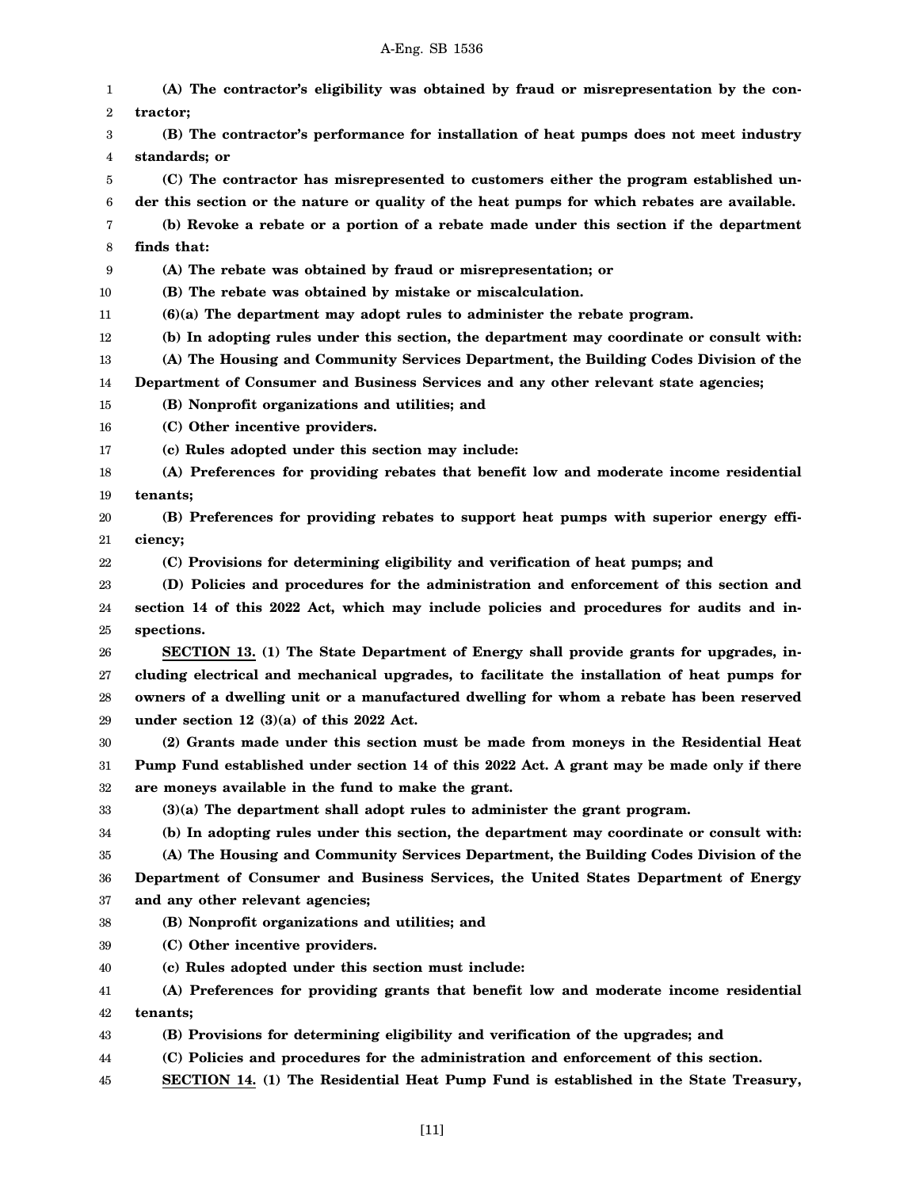| 1  | (A) The contractor's eligibility was obtained by fraud or misrepresentation by the con-      |
|----|----------------------------------------------------------------------------------------------|
| 2  | tractor;                                                                                     |
| 3  | (B) The contractor's performance for installation of heat pumps does not meet industry       |
| 4  | standards; or                                                                                |
| 5  | (C) The contractor has misrepresented to customers either the program established un-        |
| 6  | der this section or the nature or quality of the heat pumps for which rebates are available. |
| 7  | (b) Revoke a rebate or a portion of a rebate made under this section if the department       |
| 8  | finds that:                                                                                  |
| 9  | (A) The rebate was obtained by fraud or misrepresentation; or                                |
| 10 | (B) The rebate was obtained by mistake or miscalculation.                                    |
| 11 | $(6)(a)$ The department may adopt rules to administer the rebate program.                    |
| 12 | (b) In adopting rules under this section, the department may coordinate or consult with:     |
| 13 | (A) The Housing and Community Services Department, the Building Codes Division of the        |
| 14 | Department of Consumer and Business Services and any other relevant state agencies;          |
| 15 | (B) Nonprofit organizations and utilities; and                                               |
| 16 | (C) Other incentive providers.                                                               |
| 17 | (c) Rules adopted under this section may include:                                            |
| 18 | (A) Preferences for providing rebates that benefit low and moderate income residential       |
| 19 | tenants:                                                                                     |
| 20 | (B) Preferences for providing rebates to support heat pumps with superior energy effi-       |
| 21 | ciency;                                                                                      |
| 22 | (C) Provisions for determining eligibility and verification of heat pumps; and               |
| 23 | (D) Policies and procedures for the administration and enforcement of this section and       |
| 24 | section 14 of this 2022 Act, which may include policies and procedures for audits and in-    |
| 25 | spections.                                                                                   |
| 26 | SECTION 13. (1) The State Department of Energy shall provide grants for upgrades, in-        |
| 27 | cluding electrical and mechanical upgrades, to facilitate the installation of heat pumps for |
| 28 | owners of a dwelling unit or a manufactured dwelling for whom a rebate has been reserved     |
| 29 | under section 12 $(3)(a)$ of this 2022 Act.                                                  |
| 30 | (2) Grants made under this section must be made from moneys in the Residential Heat          |
| 31 | Pump Fund established under section 14 of this 2022 Act. A grant may be made only if there   |
| 32 | are moneys available in the fund to make the grant.                                          |
| 33 | (3)(a) The department shall adopt rules to administer the grant program.                     |
| 34 | (b) In adopting rules under this section, the department may coordinate or consult with:     |
| 35 | (A) The Housing and Community Services Department, the Building Codes Division of the        |
| 36 | Department of Consumer and Business Services, the United States Department of Energy         |
| 37 | and any other relevant agencies;                                                             |
| 38 | (B) Nonprofit organizations and utilities; and                                               |
| 39 | (C) Other incentive providers.                                                               |
| 40 | (c) Rules adopted under this section must include:                                           |
| 41 | (A) Preferences for providing grants that benefit low and moderate income residential        |
| 42 | tenants;                                                                                     |
| 43 | (B) Provisions for determining eligibility and verification of the upgrades; and             |
| 44 | (C) Policies and procedures for the administration and enforcement of this section.          |
|    |                                                                                              |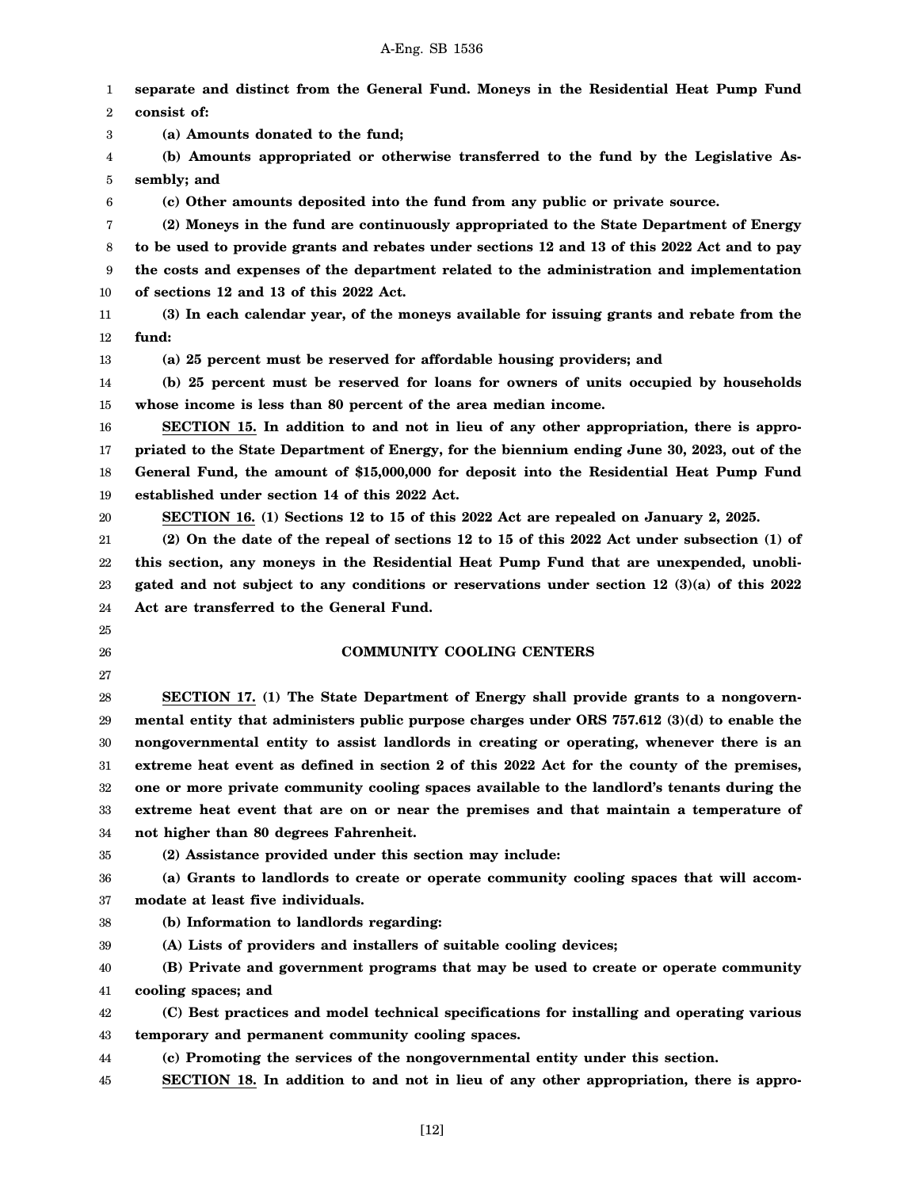1 2 3 4 5 6 7 8 9 10 11 12 13 14 15 16 17 18 19 20 21 22 23 24 25 26 27 28 29 30 31 32 33 34 35 36 37 38 39 40 41 42 43 44 45 **separate and distinct from the General Fund. Moneys in the Residential Heat Pump Fund consist of: (a) Amounts donated to the fund; (b) Amounts appropriated or otherwise transferred to the fund by the Legislative Assembly; and (c) Other amounts deposited into the fund from any public or private source. (2) Moneys in the fund are continuously appropriated to the State Department of Energy to be used to provide grants and rebates under sections 12 and 13 of this 2022 Act and to pay the costs and expenses of the department related to the administration and implementation of sections 12 and 13 of this 2022 Act. (3) In each calendar year, of the moneys available for issuing grants and rebate from the fund: (a) 25 percent must be reserved for affordable housing providers; and (b) 25 percent must be reserved for loans for owners of units occupied by households whose income is less than 80 percent of the area median income. SECTION 15. In addition to and not in lieu of any other appropriation, there is appropriated to the State Department of Energy, for the biennium ending June 30, 2023, out of the General Fund, the amount of \$15,000,000 for deposit into the Residential Heat Pump Fund established under section 14 of this 2022 Act. SECTION 16. (1) Sections 12 to 15 of this 2022 Act are repealed on January 2, 2025. (2) On the date of the repeal of sections 12 to 15 of this 2022 Act under subsection (1) of this section, any moneys in the Residential Heat Pump Fund that are unexpended, unobligated and not subject to any conditions or reservations under section 12 (3)(a) of this 2022 Act are transferred to the General Fund. COMMUNITY COOLING CENTERS SECTION 17. (1) The State Department of Energy shall provide grants to a nongovernmental entity that administers public purpose charges under ORS 757.612 (3)(d) to enable the nongovernmental entity to assist landlords in creating or operating, whenever there is an extreme heat event as defined in section 2 of this 2022 Act for the county of the premises, one or more private community cooling spaces available to the landlord's tenants during the extreme heat event that are on or near the premises and that maintain a temperature of not higher than 80 degrees Fahrenheit. (2) Assistance provided under this section may include: (a) Grants to landlords to create or operate community cooling spaces that will accommodate at least five individuals. (b) Information to landlords regarding: (A) Lists of providers and installers of suitable cooling devices; (B) Private and government programs that may be used to create or operate community cooling spaces; and (C) Best practices and model technical specifications for installing and operating various temporary and permanent community cooling spaces. (c) Promoting the services of the nongovernmental entity under this section. SECTION 18. In addition to and not in lieu of any other appropriation, there is appro-**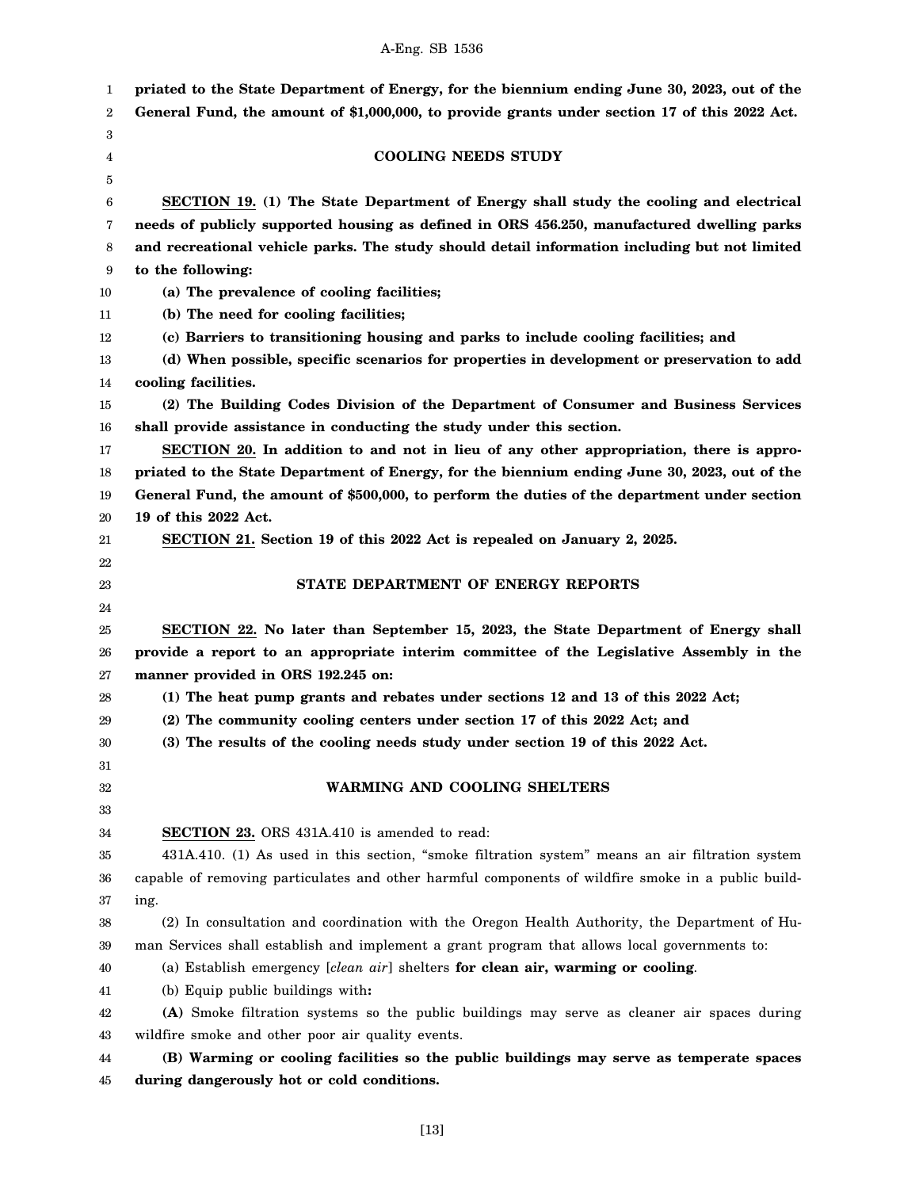| 1  | priated to the State Department of Energy, for the biennium ending June 30, 2023, out of the       |
|----|----------------------------------------------------------------------------------------------------|
| 2  | General Fund, the amount of \$1,000,000, to provide grants under section 17 of this 2022 Act.      |
| 3  |                                                                                                    |
| 4  | <b>COOLING NEEDS STUDY</b>                                                                         |
| 5  |                                                                                                    |
| 6  | SECTION 19. (1) The State Department of Energy shall study the cooling and electrical              |
| 7  | needs of publicly supported housing as defined in ORS 456.250, manufactured dwelling parks         |
| 8  | and recreational vehicle parks. The study should detail information including but not limited      |
| 9  | to the following:                                                                                  |
| 10 | (a) The prevalence of cooling facilities;                                                          |
| 11 | (b) The need for cooling facilities;                                                               |
| 12 | (c) Barriers to transitioning housing and parks to include cooling facilities; and                 |
| 13 | (d) When possible, specific scenarios for properties in development or preservation to add         |
| 14 | cooling facilities.                                                                                |
| 15 | (2) The Building Codes Division of the Department of Consumer and Business Services                |
| 16 | shall provide assistance in conducting the study under this section.                               |
| 17 | SECTION 20. In addition to and not in lieu of any other appropriation, there is appro-             |
| 18 | priated to the State Department of Energy, for the biennium ending June 30, 2023, out of the       |
| 19 | General Fund, the amount of \$500,000, to perform the duties of the department under section       |
| 20 | 19 of this 2022 Act.                                                                               |
| 21 | SECTION 21. Section 19 of this 2022 Act is repealed on January 2, 2025.                            |
| 22 |                                                                                                    |
| 23 | STATE DEPARTMENT OF ENERGY REPORTS                                                                 |
| 24 |                                                                                                    |
| 25 | SECTION 22. No later than September 15, 2023, the State Department of Energy shall                 |
| 26 | provide a report to an appropriate interim committee of the Legislative Assembly in the            |
| 27 | manner provided in ORS 192.245 on:                                                                 |
| 28 | (1) The heat pump grants and rebates under sections 12 and 13 of this 2022 Act;                    |
| 29 | (2) The community cooling centers under section 17 of this 2022 Act; and                           |
| 30 | (3) The results of the cooling needs study under section 19 of this 2022 Act.                      |
| 31 |                                                                                                    |
| 32 | <b>WARMING AND COOLING SHELTERS</b>                                                                |
| 33 |                                                                                                    |
| 34 | <b>SECTION 23.</b> ORS 431A.410 is amended to read:                                                |
| 35 | 431A.410. (1) As used in this section, "smoke filtration system" means an air filtration system    |
| 36 | capable of removing particulates and other harmful components of wildfire smoke in a public build- |
| 37 | ing.                                                                                               |
| 38 | (2) In consultation and coordination with the Oregon Health Authority, the Department of Hu-       |
| 39 | man Services shall establish and implement a grant program that allows local governments to:       |
| 40 | (a) Establish emergency [clean air] shelters for clean air, warming or cooling.                    |
| 41 | (b) Equip public buildings with:                                                                   |
| 42 | (A) Smoke filtration systems so the public buildings may serve as cleaner air spaces during        |
| 43 | wildfire smoke and other poor air quality events.                                                  |
| 44 | (B) Warming or cooling facilities so the public buildings may serve as temperate spaces            |
| 45 | during dangerously hot or cold conditions.                                                         |